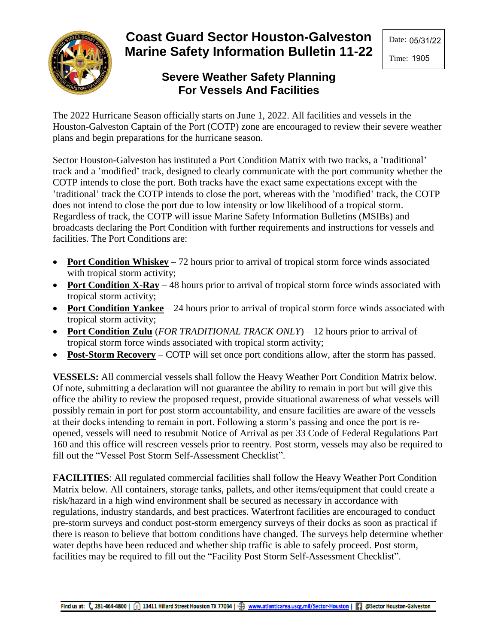## **Coast Guard Sector Houston-Galveston Marine Safety Information Bulletin 11-22**

Date: 05/31/22

Time: 1905



## **Severe Weather Safety Planning For Vessels And Facilities**

The 2022 Hurricane Season officially starts on June 1, 2022. All facilities and vessels in the Houston-Galveston Captain of the Port (COTP) zone are encouraged to review their severe weather plans and begin preparations for the hurricane season.

Sector Houston-Galveston has instituted a Port Condition Matrix with two tracks, a 'traditional' track and a 'modified' track, designed to clearly communicate with the port community whether the COTP intends to close the port. Both tracks have the exact same expectations except with the 'traditional' track the COTP intends to close the port, whereas with the 'modified' track, the COTP does not intend to close the port due to low intensity or low likelihood of a tropical storm. Regardless of track, the COTP will issue Marine Safety Information Bulletins (MSIBs) and broadcasts declaring the Port Condition with further requirements and instructions for vessels and facilities. The Port Conditions are:

- **Port Condition Whiskey** 72 hours prior to arrival of tropical storm force winds associated with tropical storm activity;
- **Port Condition X-Ray** 48 hours prior to arrival of tropical storm force winds associated with tropical storm activity;
- **Port Condition Yankee** 24 hours prior to arrival of tropical storm force winds associated with tropical storm activity;
- **Port Condition Zulu** (*FOR TRADITIONAL TRACK ONLY*) 12 hours prior to arrival of tropical storm force winds associated with tropical storm activity;
- **Post-Storm Recovery** COTP will set once port conditions allow, after the storm has passed.

**VESSELS:** All commercial vessels shall follow the Heavy Weather Port Condition Matrix below. Of note, submitting a declaration will not guarantee the ability to remain in port but will give this office the ability to review the proposed request, provide situational awareness of what vessels will possibly remain in port for post storm accountability, and ensure facilities are aware of the vessels at their docks intending to remain in port. Following a storm's passing and once the port is reopened, vessels will need to resubmit Notice of Arrival as per 33 Code of Federal Regulations Part 160 and this office will rescreen vessels prior to reentry. Post storm, vessels may also be required to fill out the "Vessel Post Storm Self-Assessment Checklist".

**FACILITIES**: All regulated commercial facilities shall follow the Heavy Weather Port Condition Matrix below. All containers, storage tanks, pallets, and other items/equipment that could create a risk/hazard in a high wind environment shall be secured as necessary in accordance with regulations, industry standards, and best practices. Waterfront facilities are encouraged to conduct pre-storm surveys and conduct post-storm emergency surveys of their docks as soon as practical if there is reason to believe that bottom conditions have changed. The surveys help determine whether water depths have been reduced and whether ship traffic is able to safely proceed. Post storm, facilities may be required to fill out the "Facility Post Storm Self-Assessment Checklist".